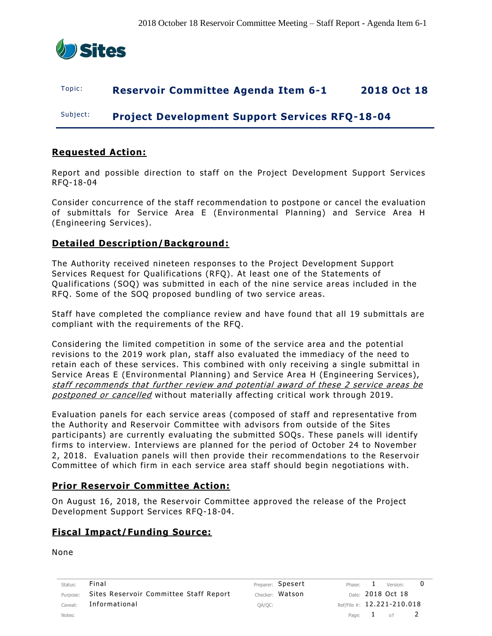

## Topic: **Reservoir Committee Agenda Item 6-1 2018 Oct 18**

Subject: **Project Development Support Services RFQ-18-04**

## **Requested Action:**

Report and possible direction to staff on the Project Development Support Services RFQ-18-04

Consider concurrence of the staff recommendation to postpone or cancel the evaluation of submittals for Service Area E (Environmental Planning) and Service Area H (Engineering Services).

## **Detailed Description/Background:**

The Authority received nineteen responses to the Project Development Support Services Request for Qualifications (RFQ). At least one of the Statements of Qualifications (SOQ) was submitted in each of the nine service areas included in the RFQ. Some of the SOQ proposed bundling of two service areas .

Staff have completed the compliance review and have found that all 19 submittals are compliant with the requirements of the RFQ.

Considering the limited competition in some of the service area and the potential revisions to the 2019 work plan, staff also evaluated the immediacy of the need to retain each of these services. This combined with only receiving a single submittal in Service Areas E (Environmental Planning) and Service Area H (Engineering Services ), staff recommends that further review and potential award of these 2 service areas be postponed or cancelled without materially affecting critical work through 2019.

Evaluation panels for each service areas (composed of staff and representative from the Authority and Reservoir Committee with advisors from outside of the Sites participants) are currently evaluating the submitted SOQs . These panels will identify firms to interview. Interviews are planned for the period of October 24 to November 2, 2018. Evaluation panels will then provide their recommendations to the Reservoir Committee of which firm in each service area staff should begin negotiations with.

## **Prior Reservoir Committee Action:**

On August 16, 2018, the Reservoir Committee approved the release of the Project Development Support Services RFQ-18-04.

### **Fiscal Impact/Funding Source:**

None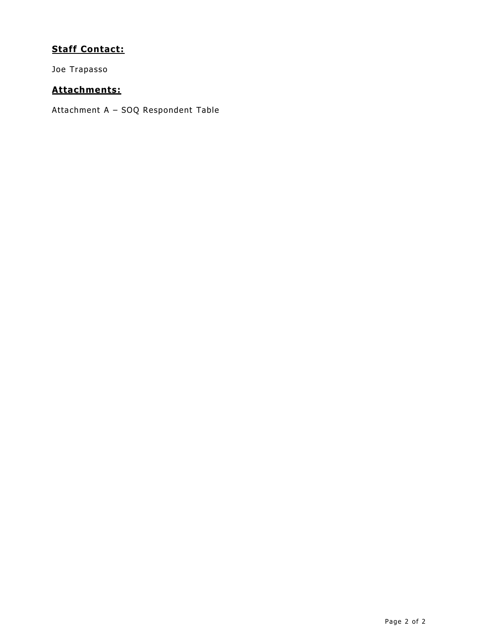# **Staff Contact:**

Joe Trapasso

# **Attachments:**

Attachment A – SOQ Respondent Table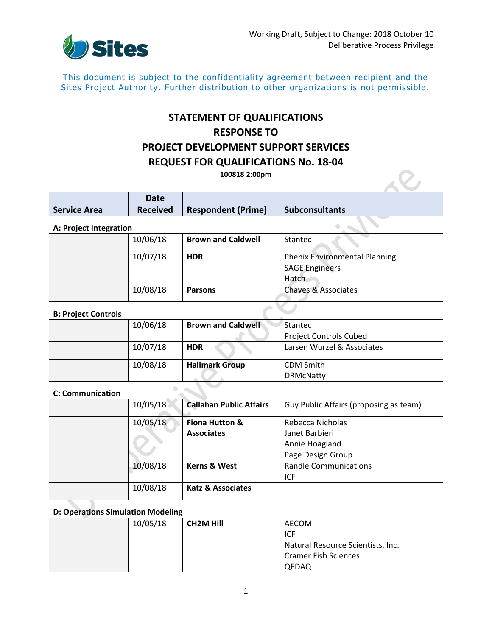

 $\overline{\mathcal{L}}$ 

This document is subject to the confidentiality agreement between recipient and the Sites Project Authority. Further distribution to other organizations is not permissible.

# **STATEMENT OF QUALIFICATIONS RESPONSE TO PROJECT DEVELOPMENT SUPPORT SERVICES REQUEST FOR QUALIFICATIONS No. 18-04**

**100818 2:00pm**

|                                                | <b>Date</b>     |                                |                                        |  |  |
|------------------------------------------------|-----------------|--------------------------------|----------------------------------------|--|--|
| <b>Service Area</b>                            | <b>Received</b> | <b>Respondent (Prime)</b>      | <b>Subconsultants</b>                  |  |  |
| A: Project Integration                         |                 |                                |                                        |  |  |
|                                                | 10/06/18        | <b>Brown and Caldwell</b>      | <b>Stantec</b>                         |  |  |
|                                                | 10/07/18        | <b>HDR</b>                     | <b>Phenix Environmental Planning</b>   |  |  |
|                                                |                 |                                | <b>SAGE Engineers</b>                  |  |  |
|                                                |                 |                                | Hatch                                  |  |  |
|                                                | 10/08/18        | <b>Parsons</b>                 | <b>Chaves &amp; Associates</b>         |  |  |
| <b>B: Project Controls</b>                     |                 |                                |                                        |  |  |
|                                                | 10/06/18        | <b>Brown and Caldwell</b>      | Stantec                                |  |  |
|                                                |                 |                                | <b>Project Controls Cubed</b>          |  |  |
|                                                | 10/07/18        | <b>HDR</b>                     | Larsen Wurzel & Associates             |  |  |
|                                                | 10/08/18        | <b>Hallmark Group</b>          | <b>CDM Smith</b>                       |  |  |
|                                                |                 |                                | <b>DRMcNatty</b>                       |  |  |
| $\hat{\phantom{a}}$<br><b>C: Communication</b> |                 |                                |                                        |  |  |
|                                                | 10/05/18        | <b>Callahan Public Affairs</b> | Guy Public Affairs (proposing as team) |  |  |
|                                                | 10/05/18        | Fiona Hutton &                 | Rebecca Nicholas                       |  |  |
|                                                |                 | <b>Associates</b>              | Janet Barbieri                         |  |  |
|                                                |                 |                                | Annie Hoagland                         |  |  |
|                                                |                 |                                | Page Design Group                      |  |  |
|                                                | 10/08/18        | <b>Kerns &amp; West</b>        | <b>Randle Communications</b>           |  |  |
|                                                |                 |                                | <b>ICF</b>                             |  |  |
|                                                | 10/08/18        | <b>Katz &amp; Associates</b>   |                                        |  |  |
| <b>D: Operations Simulation Modeling</b>       |                 |                                |                                        |  |  |
|                                                | 10/05/18        | <b>CH2M Hill</b>               | <b>AECOM</b>                           |  |  |
|                                                |                 |                                | ICF                                    |  |  |
|                                                |                 |                                | Natural Resource Scientists, Inc.      |  |  |
|                                                |                 |                                | <b>Cramer Fish Sciences</b>            |  |  |
|                                                |                 |                                | QEDAQ                                  |  |  |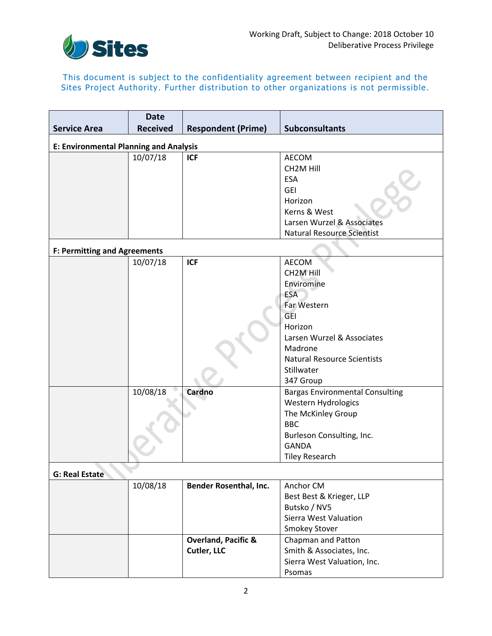

### This document is subject to the confidentiality agreement between recipient and the Sites Project Authority. Further distribution to other organizations is not permissible.

|                                               | <b>Date</b>     |                                |                                        |  |  |  |
|-----------------------------------------------|-----------------|--------------------------------|----------------------------------------|--|--|--|
| <b>Service Area</b>                           | <b>Received</b> | <b>Respondent (Prime)</b>      | <b>Subconsultants</b>                  |  |  |  |
| <b>E: Environmental Planning and Analysis</b> |                 |                                |                                        |  |  |  |
|                                               | 10/07/18        | <b>ICF</b>                     | <b>AECOM</b>                           |  |  |  |
|                                               |                 |                                | CH <sub>2</sub> M Hill                 |  |  |  |
|                                               |                 |                                | <b>ESA</b>                             |  |  |  |
|                                               |                 |                                | <b>GEI</b>                             |  |  |  |
|                                               |                 |                                | Horizon                                |  |  |  |
|                                               |                 |                                | Kerns & West                           |  |  |  |
|                                               |                 |                                | Larsen Wurzel & Associates             |  |  |  |
|                                               |                 |                                | <b>Natural Resource Scientist</b>      |  |  |  |
| <b>F: Permitting and Agreements</b>           |                 |                                |                                        |  |  |  |
|                                               | 10/07/18        | <b>ICF</b>                     | <b>AECOM</b>                           |  |  |  |
|                                               |                 |                                | CH <sub>2</sub> M Hill                 |  |  |  |
|                                               |                 |                                | Enviromine                             |  |  |  |
|                                               |                 |                                | <b>ESA</b>                             |  |  |  |
|                                               |                 |                                | Far Western                            |  |  |  |
|                                               |                 |                                | <b>GEI</b>                             |  |  |  |
|                                               |                 |                                | Horizon                                |  |  |  |
|                                               |                 |                                | Larsen Wurzel & Associates             |  |  |  |
|                                               |                 |                                | Madrone                                |  |  |  |
|                                               |                 |                                | <b>Natural Resource Scientists</b>     |  |  |  |
|                                               |                 |                                | Stillwater                             |  |  |  |
|                                               |                 |                                | 347 Group                              |  |  |  |
|                                               | 10/08/18        | Cardno                         | <b>Bargas Environmental Consulting</b> |  |  |  |
|                                               |                 |                                | Western Hydrologics                    |  |  |  |
|                                               |                 |                                | The McKinley Group                     |  |  |  |
|                                               |                 |                                | <b>BBC</b>                             |  |  |  |
|                                               |                 |                                | Burleson Consulting, Inc.              |  |  |  |
|                                               |                 |                                | <b>GANDA</b>                           |  |  |  |
|                                               |                 |                                | <b>Tiley Research</b>                  |  |  |  |
| G: Real Estate                                |                 |                                |                                        |  |  |  |
|                                               | 10/08/18        | <b>Bender Rosenthal, Inc.</b>  | Anchor CM                              |  |  |  |
|                                               |                 |                                | Best Best & Krieger, LLP               |  |  |  |
|                                               |                 |                                | Butsko / NV5                           |  |  |  |
|                                               |                 |                                | Sierra West Valuation                  |  |  |  |
|                                               |                 |                                | <b>Smokey Stover</b>                   |  |  |  |
|                                               |                 | <b>Overland, Pacific &amp;</b> | Chapman and Patton                     |  |  |  |
|                                               |                 | Cutler, LLC                    | Smith & Associates, Inc.               |  |  |  |
|                                               |                 |                                | Sierra West Valuation, Inc.            |  |  |  |
|                                               |                 |                                | Psomas                                 |  |  |  |